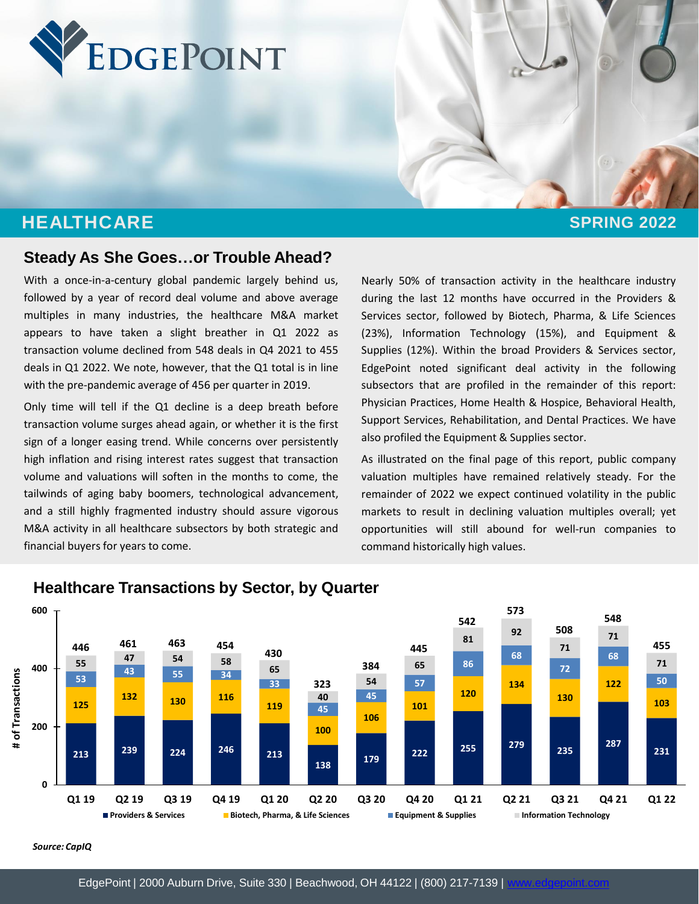

# **HEALTHCARE SPRING 2022**

### **Steady As She Goes…or Trouble Ahead?**

With a once-in-a-century global pandemic largely behind us, followed by a year of record deal volume and above average multiples in many industries, the healthcare M&A market appears to have taken a slight breather in Q1 2022 as transaction volume declined from 548 deals in Q4 2021 to 455 deals in Q1 2022. We note, however, that the Q1 total is in line with the pre-pandemic average of 456 per quarter in 2019.

Only time will tell if the Q1 decline is a deep breath before transaction volume surges ahead again, or whether it is the first sign of a longer easing trend. While concerns over persistently high inflation and rising interest rates suggest that transaction volume and valuations will soften in the months to come, the tailwinds of aging baby boomers, technological advancement, and a still highly fragmented industry should assure vigorous M&A activity in all healthcare subsectors by both strategic and financial buyers for years to come.

Nearly 50% of transaction activity in the healthcare industry during the last 12 months have occurred in the Providers & Services sector, followed by Biotech, Pharma, & Life Sciences (23%), Information Technology (15%), and Equipment & Supplies (12%). Within the broad Providers & Services sector, EdgePoint noted significant deal activity in the following subsectors that are profiled in the remainder of this report: Physician Practices, Home Health & Hospice, Behavioral Health, Support Services, Rehabilitation, and Dental Practices. We have also profiled the Equipment & Supplies sector.

As illustrated on the final page of this report, public company valuation multiples have remained relatively steady. For the remainder of 2022 we expect continued volatility in the public markets to result in declining valuation multiples overall; yet opportunities will still abound for well-run companies to command historically high values.



#### **Healthcare Transactions by Sector, by Quarter**

*Source: CapIQ*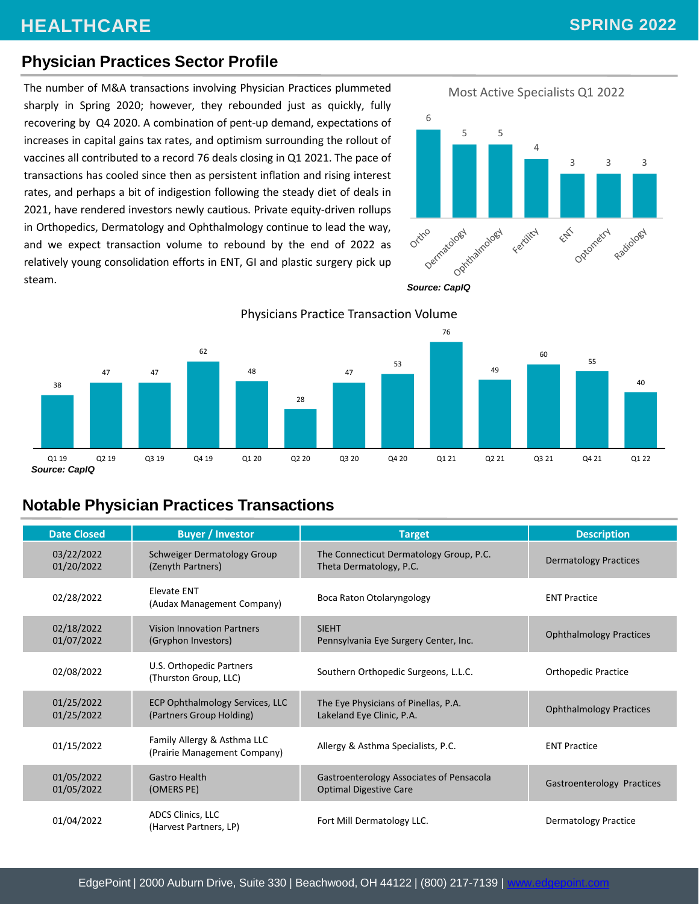# **Physician Practices Sector Profile**

The number of M&A transactions involving Physician Practices plummeted sharply in Spring 2020; however, they rebounded just as quickly, fully recovering by Q4 2020. A combination of pent-up demand, expectations of increases in capital gains tax rates, and optimism surrounding the rollout of vaccines all contributed to a record 76 deals closing in Q1 2021. The pace of transactions has cooled since then as persistent inflation and rising interest rates, and perhaps a bit of indigestion following the steady diet of deals in 2021, have rendered investors newly cautious. Private equity-driven rollups in Orthopedics, Dermatology and Ophthalmology continue to lead the way, and we expect transaction volume to rebound by the end of 2022 as relatively young consolidation efforts in ENT, GI and plastic surgery pick up steam.







Physicians Practice Transaction Volume

*Source: CapIQ*

# **Notable Physician Practices Transactions**

| <b>Date Closed</b>       | <b>Buyer / Investor</b>                                     | <b>Target</b>                                                             | <b>Description</b>             |
|--------------------------|-------------------------------------------------------------|---------------------------------------------------------------------------|--------------------------------|
| 03/22/2022<br>01/20/2022 | Schweiger Dermatology Group<br>(Zenyth Partners)            | The Connecticut Dermatology Group, P.C.<br>Theta Dermatology, P.C.        | <b>Dermatology Practices</b>   |
| 02/28/2022               | Elevate ENT<br>(Audax Management Company)                   | Boca Raton Otolaryngology                                                 | <b>ENT Practice</b>            |
| 02/18/2022<br>01/07/2022 | <b>Vision Innovation Partners</b><br>(Gryphon Investors)    | <b>SIEHT</b><br>Pennsylvania Eye Surgery Center, Inc.                     | <b>Ophthalmology Practices</b> |
| 02/08/2022               | U.S. Orthopedic Partners<br>(Thurston Group, LLC)           | Southern Orthopedic Surgeons, L.L.C.                                      | <b>Orthopedic Practice</b>     |
| 01/25/2022<br>01/25/2022 | ECP Ophthalmology Services, LLC<br>(Partners Group Holding) | The Eye Physicians of Pinellas, P.A.<br>Lakeland Eye Clinic, P.A.         | <b>Ophthalmology Practices</b> |
| 01/15/2022               | Family Allergy & Asthma LLC<br>(Prairie Management Company) | Allergy & Asthma Specialists, P.C.                                        | <b>ENT Practice</b>            |
| 01/05/2022<br>01/05/2022 | <b>Gastro Health</b><br>(OMERS PE)                          | Gastroenterology Associates of Pensacola<br><b>Optimal Digestive Care</b> | Gastroenterology Practices     |
| 01/04/2022               | ADCS Clinics, LLC<br>(Harvest Partners, LP)                 | Fort Mill Dermatology LLC.                                                | Dermatology Practice           |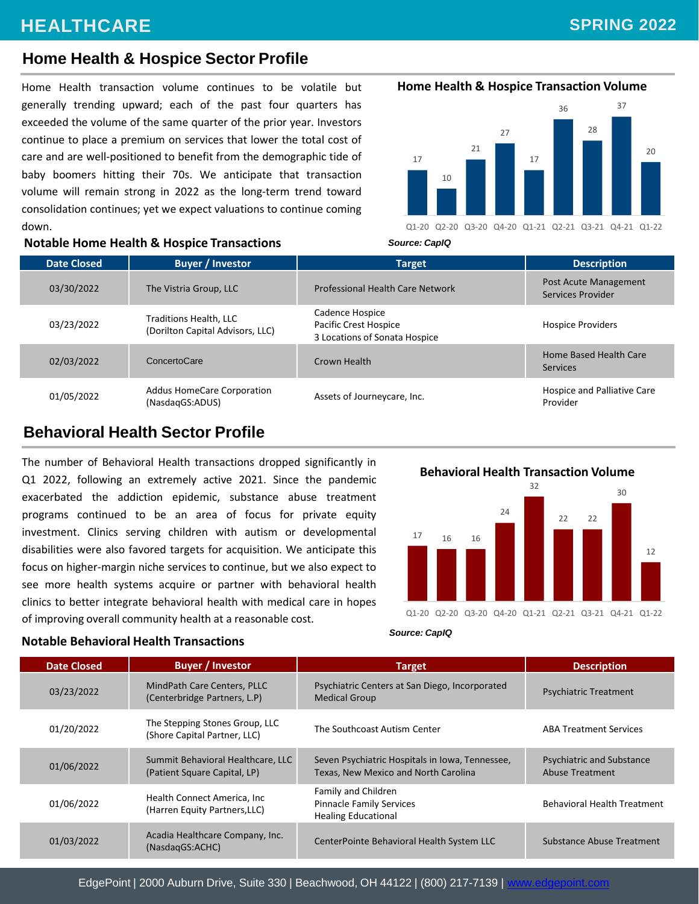# **SPRING 2022**

### **Home Health & Hospice Sector Profile**

Home Health transaction volume continues to be volatile but generally trending upward; each of the past four quarters has exceeded the volume of the same quarter of the prior year. Investors continue to place a premium on services that lower the total cost of care and are well-positioned to benefit from the demographic tide of baby boomers hitting their 70s. We anticipate that transaction volume will remain strong in 2022 as the long-term trend toward consolidation continues; yet we expect valuations to continue coming down.



**Home Health & Hospice Transaction Volume**

#### **Notable Home Health & Hospice Transactions**

| <b>Date Closed</b> | <b>Buyer / Investor</b>                                    | <b>Target</b>                                                             | <b>Description</b>                         |
|--------------------|------------------------------------------------------------|---------------------------------------------------------------------------|--------------------------------------------|
| 03/30/2022         | The Vistria Group, LLC                                     | Professional Health Care Network                                          | Post Acute Management<br>Services Provider |
| 03/23/2022         | Traditions Health, LLC<br>(Dorilton Capital Advisors, LLC) | Cadence Hospice<br>Pacific Crest Hospice<br>3 Locations of Sonata Hospice | <b>Hospice Providers</b>                   |
| 02/03/2022         | ConcertoCare                                               | Crown Health                                                              | Home Based Health Care<br>Services         |
| 01/05/2022         | <b>Addus HomeCare Corporation</b><br>(NasdagGS:ADUS)       | Assets of Journeycare, Inc.                                               | Hospice and Palliative Care<br>Provider    |

### **Behavioral Health Sector Profile**

The number of Behavioral Health transactions dropped significantly in Q1 2022, following an extremely active 2021. Since the pandemic exacerbated the addiction epidemic, substance abuse treatment programs continued to be an area of focus for private equity investment. Clinics serving children with autism or developmental disabilities were also favored targets for acquisition. We anticipate this focus on higher-margin niche services to continue, but we also expect to see more health systems acquire or partner with behavioral health clinics to better integrate behavioral health with medical care in hopes of improving overall community health at a reasonable cost.

**Behavioral Health Transaction Volume**



*Source: CapIQ*

| <b>Date Closed</b> | <b>Buyer / Investor</b>                                           | <b>Target</b>                                                                           | <b>Description</b>                                  |
|--------------------|-------------------------------------------------------------------|-----------------------------------------------------------------------------------------|-----------------------------------------------------|
| 03/23/2022         | MindPath Care Centers, PLLC<br>(Centerbridge Partners, L.P)       | Psychiatric Centers at San Diego, Incorporated<br><b>Medical Group</b>                  | <b>Psychiatric Treatment</b>                        |
| 01/20/2022         | The Stepping Stones Group, LLC<br>(Shore Capital Partner, LLC)    | The Southcoast Autism Center                                                            | <b>ABA Treatment Services</b>                       |
| 01/06/2022         | Summit Behavioral Healthcare, LLC<br>(Patient Square Capital, LP) | Seven Psychiatric Hospitals in Iowa, Tennessee,<br>Texas, New Mexico and North Carolina | <b>Psychiatric and Substance</b><br>Abuse Treatment |
| 01/06/2022         | Health Connect America, Inc.<br>(Harren Equity Partners, LLC)     | Family and Children<br><b>Pinnacle Family Services</b><br><b>Healing Educational</b>    | <b>Behavioral Health Treatment</b>                  |
| 01/03/2022         | Acadia Healthcare Company, Inc.<br>(NasdagGS:ACHC)                | CenterPointe Behavioral Health System LLC                                               | Substance Abuse Treatment                           |

#### **Notable Behavioral Health Transactions**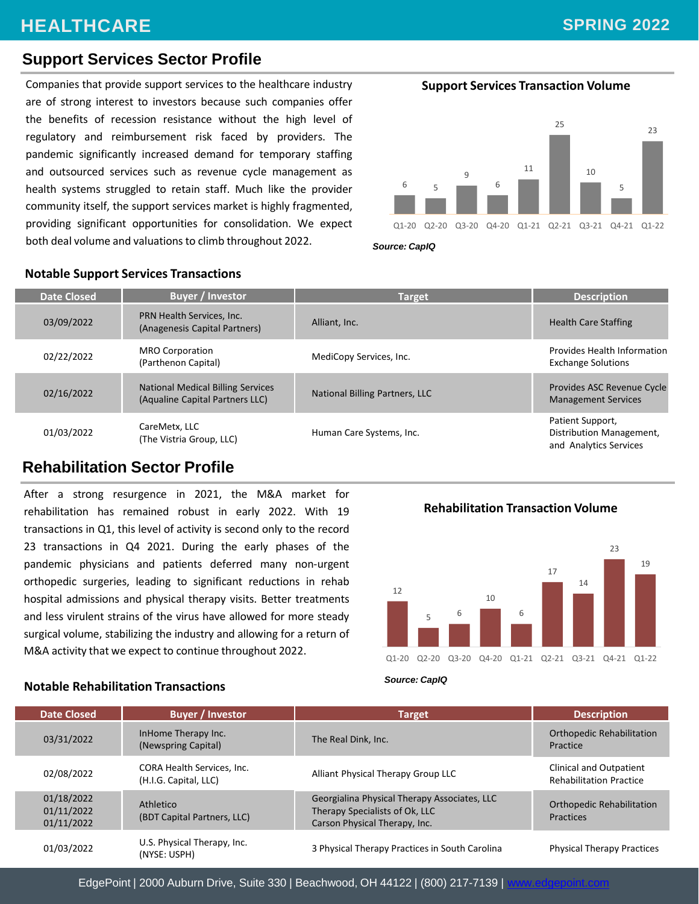# **SPRING 2022**

### **Support Services Sector Profile**

Companies that provide support services to the healthcare industry **Support Services Transaction Volume** are of strong interest to investors because such companies offer the benefits of recession resistance without the high level of regulatory and reimbursement risk faced by providers. The pandemic significantly increased demand for temporary staffing and outsourced services such as revenue cycle management as health systems struggled to retain staff. Much like the provider community itself, the support services market is highly fragmented, providing significant opportunities for consolidation. We expect both deal volume and valuations to climb throughout 2022.



*Source: CapIQ*

| <b>Date Closed</b> | <b>Buyer / Investor</b>                                                     | <b>Target</b>                  | <b>Description</b>                                                     |
|--------------------|-----------------------------------------------------------------------------|--------------------------------|------------------------------------------------------------------------|
| 03/09/2022         | PRN Health Services, Inc.<br>(Anagenesis Capital Partners)                  | Alliant, Inc.                  | <b>Health Care Staffing</b>                                            |
| 02/22/2022         | <b>MRO Corporation</b><br>(Parthenon Capital)                               | MediCopy Services, Inc.        | Provides Health Information<br><b>Exchange Solutions</b>               |
| 02/16/2022         | <b>National Medical Billing Services</b><br>(Aqualine Capital Partners LLC) | National Billing Partners, LLC | Provides ASC Revenue Cycle<br><b>Management Services</b>               |
| 01/03/2022         | CareMetx, LLC<br>(The Vistria Group, LLC)                                   | Human Care Systems, Inc.       | Patient Support,<br>Distribution Management,<br>and Analytics Services |

# **Notable Support Services Transactions**

# **Rehabilitation Sector Profile**

After a strong resurgence in 2021, the M&A market for rehabilitation has remained robust in early 2022. With 19 transactions in Q1, this level of activity is second only to the record 23 transactions in Q4 2021. During the early phases of the pandemic physicians and patients deferred many non-urgent orthopedic surgeries, leading to significant reductions in rehab hospital admissions and physical therapy visits. Better treatments and less virulent strains of the virus have allowed for more steady surgical volume, stabilizing the industry and allowing for a return of M&A activity that we expect to continue throughout 2022.







| <b>Date Closed</b>                     | <b>Buyer / Investor</b>                                    | Target                                                                                                          | <b>Description</b>                                        |
|----------------------------------------|------------------------------------------------------------|-----------------------------------------------------------------------------------------------------------------|-----------------------------------------------------------|
| 03/31/2022                             | InHome Therapy Inc.<br>(Newspring Capital)                 | The Real Dink, Inc.                                                                                             | <b>Orthopedic Rehabilitation</b><br>Practice              |
| 02/08/2022                             | <b>CORA Health Services, Inc.</b><br>(H.I.G. Capital, LLC) | Alliant Physical Therapy Group LLC                                                                              | Clinical and Outpatient<br><b>Rehabilitation Practice</b> |
| 01/18/2022<br>01/11/2022<br>01/11/2022 | Athletico<br>(BDT Capital Partners, LLC)                   | Georgialina Physical Therapy Associates, LLC<br>Therapy Specialists of Ok, LLC<br>Carson Physical Therapy, Inc. | <b>Orthopedic Rehabilitation</b><br><b>Practices</b>      |
| 01/03/2022                             | U.S. Physical Therapy, Inc.<br>(NYSE: USPH)                | 3 Physical Therapy Practices in South Carolina                                                                  | <b>Physical Therapy Practices</b>                         |

**Notable Rehabilitation Transactions**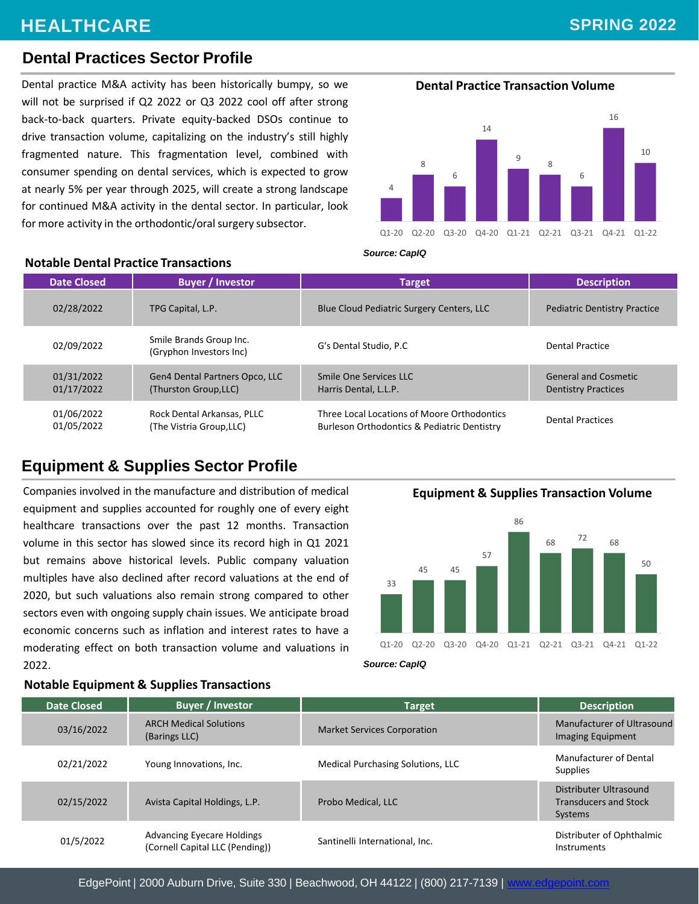# **HEALTHCARE Noteworthy Home Health & Hospice Care Transactions | Q1 - Q2 2017** *(continued)*

# **SPRING 2022**

# **Dental Practices Sector Profile**

**Notable Dental Practice Transactions**

Dental practice M&A activity has been historically bumpy, so we **Dental Practice Transaction Volume** will not be surprised if Q2 2022 or Q3 2022 cool off after strong back-to-back quarters. Private equity-backed DSOs continue to drive transaction volume, capitalizing on the industry's still highly fragmented nature. This fragmentation level, combined with consumer spending on dental services, which is expected to grow at nearly 5% per year through 2025, will create a strong landscape for continued M&A activity in the dental sector. In particular, look for more activity in the orthodontic/oral surgery subsector.



#### *Source: CapIQ*

| <b>Date Closed</b>       | <b>Buyer / Investor</b>                                 | <b>Target</b>                                                                              | <b>Description</b>                                        |
|--------------------------|---------------------------------------------------------|--------------------------------------------------------------------------------------------|-----------------------------------------------------------|
| 02/28/2022               | TPG Capital, L.P.                                       | Blue Cloud Pediatric Surgery Centers, LLC                                                  | <b>Pediatric Dentistry Practice</b>                       |
| 02/09/2022               | Smile Brands Group Inc.<br>(Gryphon Investors Inc)      | G's Dental Studio, P.C.                                                                    | Dental Practice                                           |
| 01/31/2022<br>01/17/2022 | Gen4 Dental Partners Opco, LLC<br>(Thurston Group, LLC) | Smile One Services LLC<br>Harris Dental, L.L.P.                                            | <b>General and Cosmetic</b><br><b>Dentistry Practices</b> |
| 01/06/2022<br>01/05/2022 | Rock Dental Arkansas, PLLC<br>(The Vistria Group, LLC)  | Three Local Locations of Moore Orthodontics<br>Burleson Orthodontics & Pediatric Dentistry | <b>Dental Practices</b>                                   |

# **Equipment & Supplies Sector Profile**

Companies involved in the manufacture and distribution of medical equipment and supplies accounted for roughly one of every eight healthcare transactions over the past 12 months. Transaction volume in this sector has slowed since its record high in Q1 2021 but remains above historical levels. Public company valuation multiples have also declined after record valuations at the end of 2020, but such valuations also remain strong compared to other sectors even with ongoing supply chain issues. We anticipate broad economic concerns such as inflation and interest rates to have a moderating effect on both transaction volume and valuations in 2022.

**Equipment & Supplies Transaction Volume**



*Source: CapIQ*

| <b>Date Closed</b> | <b>Buyer / Investor</b>                                              | Target                                   | <b>Description</b>                                                |
|--------------------|----------------------------------------------------------------------|------------------------------------------|-------------------------------------------------------------------|
| 03/16/2022         | <b>ARCH Medical Solutions</b><br>(Barings LLC)                       | <b>Market Services Corporation</b>       | Manufacturer of Ultrasound<br>Imaging Equipment                   |
| 02/21/2022         | Young Innovations, Inc.                                              | <b>Medical Purchasing Solutions, LLC</b> | Manufacturer of Dental<br><b>Supplies</b>                         |
| 02/15/2022         | Avista Capital Holdings, L.P.                                        | Probo Medical, LLC                       | Distributer Ultrasound<br><b>Transducers and Stock</b><br>Systems |
| 01/5/2022          | <b>Advancing Eyecare Holdings</b><br>(Cornell Capital LLC (Pending)) | Santinelli International, Inc.           | Distributer of Ophthalmic<br>Instruments                          |

#### **Notable Equipment & Supplies Transactions**